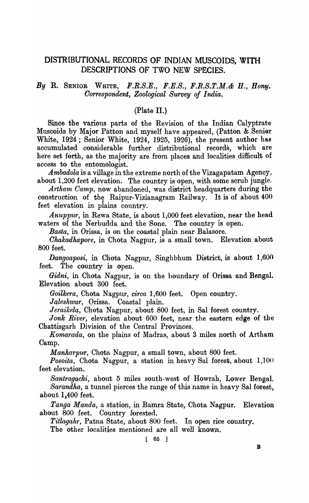# DISTRIBUTIONAL RECORDS OF INDIAN MUSCOIDS, WITH DESCRIPTIONS OF TWO NEW SPECIES.

# *By* R. SENIOR WHITE, *F.R.S.E., F.E.S., F.R.S.T.M.& H., Bony. Oorrespondent, Zoological Survey of India.*

### (Plate II.)

Since the various parts of the Revision of the Indian Calyptrate Muscoids by Major Patton and myself have appeared, (Patton & Senior White, 1924; Senior White, 1924, 1925, 1926), the present author has accumulated considerable further distributional records, which are here set ferth, as the majority are from places and localities difficult of access to the entomologist.

*Ambadola* is a village in the extreme north of the Vizagapatam Agency, about 1,200 feet elevation. The country is open, with some scrub jungle.

*Artham Camp,* now abandoned, was district headquarters during the construction of the Raipur-Vizianagram Railway. It is of about  $400$ feet elevation in plains country.

*Anuppur*, in Rewa State, is about 1,000 feet elevation, near the head waters of the Nerbudda and the Sone. The country is open.

*Basta,* in Orissa, is on the coastal plain near Balasore.

*Chakadhapore,* in Chota Nagpur, is a small town. Elevation about 800 feet.

*Dangoaposi,* in Chota Nagpur, Singhbhum District, is about 1,600 feet. The country is open.

Gidni, in Chota Nagpur, is on the boundary of Orissa and Bengal. Elevation about 300 feet.

*Goilkera.,* Chota Nagpur, *circa* 1,600 feet. Open country.

Jaleshwar, Orissa. Coastal plain.

*Jeraikela,* Chota Nagpur, about 800 feet, in Sal forest country.

Jonk River, elevation about 600 feet, near the eastern edge of the Chattisgarh Division of the Central Provinces.

*Komarada*, on the plains of Madras, about 3 miles north of Artham Camp.

*Manharpur*, Chota Nagpur, a small town, about 800 feet.

*Posoita,* Chota Nagpur, a station in heavy Sal forest, about 1,100 feet elevation.

*Santragachi,* about 5 miles south-west of Howrah, Lower Bengal.

*Sarandha,* a tunnel pierces the range of this name in heavy Sal forest, about 1,400 feet.

*Tanga Manda,* a station, in Bamra State, Chota Nagpur. Elevation about 800 feet. Country forested.

*Titlagahr*, Patna State, about 800 feet. In open rice country.

The other localities mentioned are all well known.

 $\begin{bmatrix} 65 \end{bmatrix}$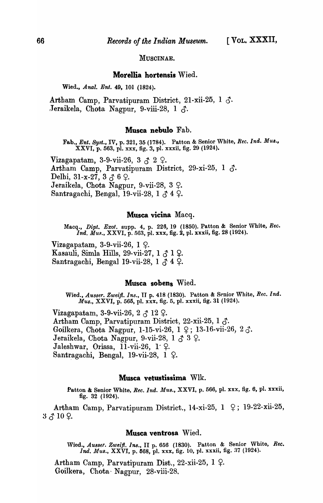MUSOINAE.

#### Morellia hortensis Wied.

Wied., Anal. Ent. 49, 101 (1824).

Artham Camp, Parvatipuram District, 21-xii-25, 1  $\zeta$ . Jeraikela, Chota Nagpur, 9-viii-28, 1  $\delta$ .

#### Musca nebulo Fab.

Fab., *Ent. ByBt.,* IV, p. 321, 35 (1784). Patton & Senior White, *Ree. Ind. MU8.,*  XXVI, p. 563, pl. xxx, fig. 3, pI. xxxii, fig. 29 (1924).

Vizagapatam, 3-9-vii-26, 3  $\lambda$  2  $\Omega$ . Artham Camp, Parvatipuram District, 29-xi-25, 1  $\delta$ . Delhi, 31-x-27, 3  $3 \delta$  6  $\Omega$ . Jeraikela, Chota Nagpur, 9-vii-28, 3  $\varphi$ . Santragachi, Bengal, 19-vii-28, 1 $\zeta$  4  $\varphi$ .

#### Musca vicina Macq.

Macq., *Dipt.. Exot.* supp. 4, p. 226, 19 (1850). Patton & Senior White, *Ree. Ind. Mus.*, XXVI, p. 563, pl. xxx, fig. 2, pl. xxxii, fig. 28 (1924).

Vizagapatam, 3-9-vii-26,  $1 \,$   $\varphi$ . Kasauli, Simla Hills, 29-vii-27,  $1 \uparrow 1$  ?. Santragachi, Bengal 19-vii-28, 1  $\uparrow$  4  $\downarrow$ .

## Musca sobens Wied.

Wied., Ausser. Zweifl. Ins., II p. 418 (1830). Patton & Senior White, Rec. Ind. *Mus.,* XXVI, p. 565, pl. xxx, fig. 5, pI. xxxii, fig. 31 (1924).

Vizagapatam, 3-9-vii-26, 2 $\beta$  12  $\varphi$ . Artham Camp, Parvatipuram District, 22-xii-25, 1  $\delta$ . Goilkera, Chota Nagpur, 1-15-vi-26, 1  $\varphi$ ; 13-16-vii-26, 2  $\varphi$ . Jeraikela, Chota Nagpur, 9-vii-28, 1  $\delta$  3  $\varphi$ . Jaleshwar, Orissa, 11-vii-26,  $1~\varphi$ . Santragachi, Bengal, 19-vii-28, 1  $\varphi$ .

#### Musca vetustissima Wlk.

Patton & Senior White, *Rec. Ind. Mus.*, XXVI, p. 566, pl. xxx, fig. 6, pl. xxxii, fig. 32 (1924).

Artham Camp, Parvatipuram District., 14-xi-25,  $1 \quad 9$ ; 19-22-xii-25,  $3 \uparrow 10$   $\Omega$ .

#### Musca ventrosa Wied.

Wied., *Ausser. Zweift. Ins.*, II p. 656 (1830). Patton & Senior White, Rec. *Ind. Mus., XXVI, p. 668, pl. xxx, fig. 10, pl. xxxii, fig. 37 (1924).* 

Artham Camp, Parvatipuram Dist., 22-xii-25,  $1 \nvert 2$ . Goilkera, Chota' Nagpur, 28-viii-28.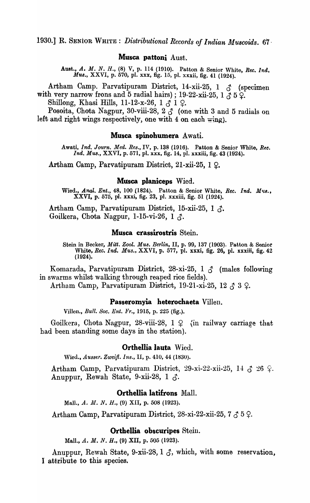1930.] R. SENIOR WHITE: *Distributional Records of Indian Muscoids.* 67

# **Musca pattoni** Aust.

Aust., *A. M. N. H.,* (8) V, p. 114 (1910). Patton & Senior White, *Ree. Ind.*  Mus., XXVI, p. 570, pl. xxx, fig. 15, pl. xxxii, fig. 41 (1924).

Artham Camp. Parvatipuram District, 14-xii-25, 1  $\delta$  (specimen with very narrow frons and 5 radial hairs); 19-22-xii-25, 1  $\vec{A}$  5  $\vec{Q}$ .

Shillong, Khasi Hills, 11-12-x-26, 1  $\zeta$  1  $\varphi$ .

Posoita, Chota Nagpur, 30-viii-28,  $2\bar{3}$  (one with 3 and 5 radials on left and right wings respectively, one with 4 on each  $\mp$ ing).

### **Musca spinobumera** Awati.

Awati, *Ind. Journ. Med. Res.,* IV, p. 138 (1916). Patton & Senior White, *Bee. Ind. Mus.,* XXVI, p. 571, pl. xxx, fig. 14, pI. xxxiii, fig. 43 (1924).

Artham Camp, Parvatipuram District, 21-xii-25, 1  $\Omega$ .

# **Musca planiceps** Wied.

Wied., Anal. Ent., 48, 100 (1824). Patton & Senior White, *Rec. Ind. Mus.*, XXVI, p. 575, pI. xxxi, fig. 23, p1. xxxiii, fig. 51 (1924).

Artham Camp, Parvatipuram District, 15-xii-25, 1  $\delta$ . Goilkera, Chota Nagpur, 1-15-vi-26, 1  $\Lambda$ .

### **Musca crassirostris** Stein.

Stein in Becker, *Mitt. Zool. Mus. Berlin*, II, p. 99, 137 (1903). Patton & Senior White, *Rec. Ind. Mus.,* XXVI, p. 577, pl. xxxi, fig. 26, pl. xxxiii, fig. 42 (1924).

Komarada, Parvatipuram District, 28-xi-25, 1  $\delta$  (males following in swarms whilst walking through reaped rice fields).

Artham Camp, Parvatipuram District, 19-21-xi-25, 12  $\zeta$  3  $\varphi$ .

### **Passeromyia heterochaeta** Villen.

Villen., *Bull. Soc. Ent. li'r.,* 1915, p. 225 (fig.).

Goilkera, Chota Nagpur, 28-viii-28,  $1 \nsubseteq \{in \}$  railway carriage that had been standing some days in the station).

#### **Orthellia lauta** Wied.

'Vied., *Ausser. Zweijl. Ins.,* II, p. 410, 44 (1830).

Artham Camp, Parvatipuram District, 29-xi-22-xii-25, 14  $\zeta$  26  $\varphi$ . Anuppur, Rewah State, 9-xii-28, 1  $\delta$ .

# **Orthellia latifrons** Mall.

Mall., A. M. N. H., (9) XII, p. 508 (1923).

Artham Camp, Parvatipuram District, 28-xi-22-xii-25, 7  $\zeta$  5  $\zeta$ .

### **Orthellia obscuripes** Stein.

Mall., A. M. N. H., (9) XII, p. 505 (1923).

Anuppur, Rewah State, 9-xii-28, 1  $\delta$ , which, with some reservation, I attribute to this species.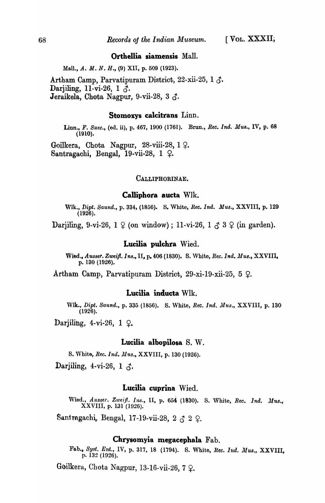#### **Orthellia siamensis** Mall.

Mall., A. M. N. H., (9) XII, p. 509 (1923).

Artham Camp, Parvatipuram District, 22-xii-25, 1  $\delta$ . Darjiling, 11-vi-26, 1  $\delta$ . **J**eraikela, Chota Nagpur, 9-vii-28, 3  $\delta$ .

### **Stomoxys calcitrans** Linn.

Linn., *F. Suec.,* (ed. ii), p. 467, 1900 (1761). Brun., *Ree. Ind. MU8.,* IV, p. 68 (1910).

Goilkera, Chota Nagpur, 28-viii-28,  $1 \Omega$ . Santragachi, Bengal, 19-vii-28, 1  $\varphi$ .

#### CALLIPHORINAE.

#### **Calliphora aucta** Wlk.

Wlk., *Dipt. Baund.,* p. 334, (1856). S. White, *Ree. Ind. Mus.,* XXVIII, p. 129 (1926).

Darjiling, 9-vi-26, 1  $\varphi$  (on window); 11-vi-26, 1  $\varphi$  3  $\varphi$  (in garden).

### **Lucilia pulchra** Wied.

Wied., *AU88er. Zweift. Ina.,* II, p. 406 (1830). S. 'Vhite, *Rec.Ind. MU8.,* XXVIII, p. 130 (1926).

Artham Camp, Parvatipuram District, 29-xi-19-xii-25, 5  $\varphi$ .

#### **Lucilia inducta** Wlk.

Wlk., Dipt. Saund., p. 335 (1856). S. White, *Rec. Ind. Mus.*, XXVIII, p. 130  $(1926)$ .

Darjiling, 4-vi-26, 1  $\Omega$ .

#### **Lucilia albopilosa** S. W.

s. 'Vhite, *Bee.. Ind. MU8.,* XXVIII, p. 130 (1926).

Darjiling, 4-vi-26, 1  $\zeta$ .

#### **Lucilia cuprina** Wied.

Wied., *Ausser. Zweifl. Ins.*, II, p. 654 (1830). S. White, *Rec. Ind. Mus.*, XXVIII, p. 131 (1926).

Santragachi, Bengal, 17-19-vii-28, 2  $\uparrow$  2  $\downarrow$ .

### **Chrysomyia megacephala** Fab.

Fab., Syst. Ent., IV, p. 317, 18 (1794). S. White, *Rec. Ind. Mus.*, XXVIII, p. 132 (1926).

Goilkera, Chota Nagpur, 13-16-vii-26, 7  $\varphi$ .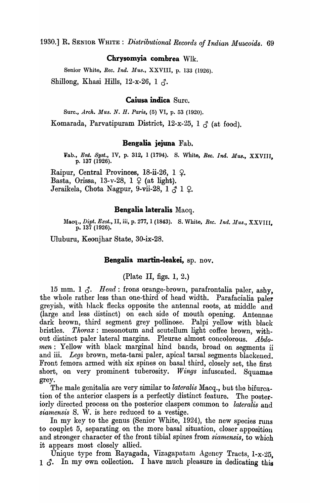1930.] R. SENIOR WHITE: *Distributional Records of Indian Muscoids.* 69

# **Chrysomyia combrea** Wlk.

Senior White, *Rec. Ind. Mus.*, XXVIII, p. 133 (1926). Shillong, Khasi Hills, 12-x-26, 1  $\lambda$ .

# **Caiusa indica** Sure.

Surc., *Arch. Mus. N. H. Paris*, (5) VI, p. 53 (1920). Komarada, Parvatipuram District, 12-x-25, 1  $\beta$  (at food).

### **Bengalia jejuna** Fab.

Fab., Ent. Syst., IV, p. 312, 1 (1794). S. White, *Rec. Ind. Mus.*, XXVIII. p. 137 (1926).

Raipur, Central Provinces, 18-ii-26, 1  $\Omega$ . Basta, Orissa, 13-v-28,  $1 \nsubseteq (at light).$ Jeraikela, Chota Nagpur, 9-vii-28, 1  $\uparrow$  1  $\downarrow$ .

# **Bengalia lateralis** Macq.

l\Ia.eq., *Dipt. Exat.,* II, iii, p. 277, 1 (1843). S. White, *Bee. Ind. Mus.,* XXVIII, p. 137 (1926).

Uluburu, Keonjhar State, 30-ix-28.

### **Bengalia martin-leakei,** sp. nov\_

(Plate II, figs. 1, 2.)

15 mm. 1  $\delta$ . *Head*: frons orange-brown, parafrontalia paler, ashy, the whole rather less than one-third of head width. Parafacialia paler greyish, with hlack flecks opposite the antennal roots, at middle and (large and less distinct) on each side of mouth opening. Antennae dark brown, third segment grey pollinose. Palpi yellow with black bristles. *Thorax:* mesonotum and scutellum light coffee brown, without distinct paler lateral margins. Pleurae almost concolorous. *Abdo* men : Yellow with black marginal hind bands, broad on segments ii and iii. *Legs* brown, meta-tarsi paler, apical tarsal segments blackened. Front femora armed with six spines on basal third, closely set, the first short, on very prominent tuberosity. *Wings* infuscated. Squamae grey.

The male genitalia are very similar to *lateralis* Macq., but the bifurcation of the anterior claspers is a perfectly distinct feature. The posteriorly directed process on the posterior claspers common to *lateralis* and *siarnensis* S. W. is here reduced to a vestige.

In my key to the genus (Senior White, 1924), the new species runs to couplet 5, separating on the more basal situation, closer apposition and stronger character of the front tibial spines from *siarnensis,* to which it appears most closely allied.

Unique type from Rayagada, Vizagapatam Agoncy Tracts, l-x-25, 1  $\delta$ . In my own collection. I have much pleasure in dedicating this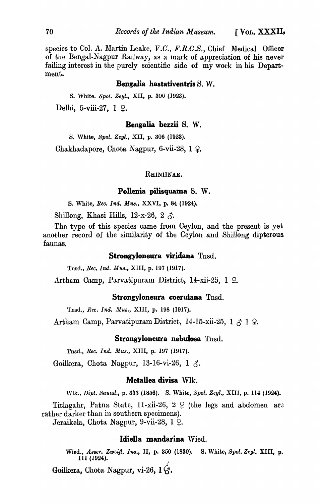species to Col. A. Martin Leake, V.C., F.R.C.S., Chief Medical Officer of the Bengal-Nagpur Railway, as a mark of appreciation of his never failing interest in the purely scientific side of my work in his Department.

#### Bengalia hastativentris S. W.

S. \Vhite. *Spol. Zeyl.,* XII, p. 306 (1923). Delhi, 5-viii-27,  $1 \Omega$ .

#### Bengalia bezzii S. W.

S. White, *Spol. Zeyl.,* XII, p. 306 (1923). Chakhadapore, Chota Nagpur, 6-vii-28, 1  $\varphi$ .

#### RHINIINAE.

#### Pollenia pilisquama S. W.

S. White, *Ree. Ind. MU8.,* XXVI, p. 84 (1924).

Shillong, Khasi Hills, 12-x-26, 2  $\zeta$ .

The type of this species came from Ceylon, and the present is yet another record of the similarity of the Ceylon and Shillong dipterous faunas.

### Strongyloneura viridana Tnsd.

Tnsd., *llee. Ind. MU8.,* XIII, p. 197 (1917).

Artham Camp, Parvatipuram District, 14-xii-25, 1 Q.

#### Strongyloneura coerulana Tnsd.

Tnsd., *Rec. Ind. Mus.*, XIII, p. 198 (1917).

Artham Camp, Parvatipuram District, 14-15-xii-25, 1  $\beta$  1  $\Omega$ .

#### Strongyloneura nebulosa Tnsd.

Tnsd., *Rec. Ind. Mus.*, XIII, p. 197 (1917).

Goilkera, Chota Nagpur, 13-16-vi-26, 1  $\delta$ .

# Metallea divisa Wlk.

Wlk., *Dipt. Saund.,* p. 333 (1856). S. 'Vhite, *Spol. Zeyl.,* XIII, p. 114 (1924).

Titlagahr, Patna State, 11-xii-26, 2  $\varphi$  (the legs and abdomen are rather darker than in southern specimens).

Jeraikela, Chota Nagpur, 9-vii-28, 1 9.

## ·Idiella mandarina Wied.

Wied., *Asser. Zweijl. Ins.,* II, p. 350 (1830). S. White, *Spol. Zeyl.* XIII, p. 111 (1924).

Goilkera, Chota Nagpur, vi-26,  $1\acute{G}$ .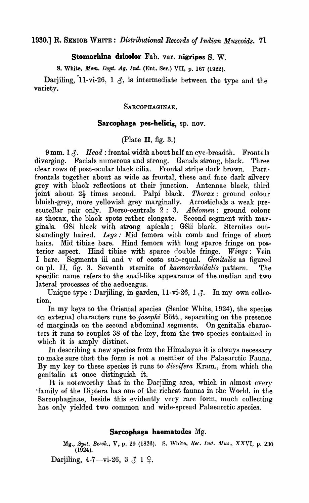1930.) R. SENIOR WHITE: *Distributional Records of Indian Muscoids.* 71

Stomorhina dsicolor Fab. var. nigripes S. W.

S. White, *Mem. Dept. Ag. Ind.* (Ent. Ser.) VII, p. 167 (1922).

Darjiling,  $11-vi-26$ ,  $1 \nightharpoonup$ , is intermediate between the type and the variety.

# SARCOPHAGINAE.

# Sarcophaga pes-helicis, sp. nov.

(Plate II, fig.  $3$ .)

 $9 \text{ mm}$ . 1  $\beta$ . *Head*: frontal width about half an eye-breadth. Frontals diverging. Facials numerous and strong. Genals strong, black. Three clear rows of post-ocular black cilia. Frontal stripe dark brown. Parafrontals together about as wide as frontal, these and face dark silvery grey with black reflections at their junction. Antennae black, third joint about 2<sup>1</sup>/<sub>2</sub> times second. Palpi black. *Thorax*: ground colour bluish -grey, more yellowish grey marginally. Acrostichals a weak prescutellar pair only. Dorso-centrals 2: 3. *Abdomen:* ground colour as thorax, the black spots rather elongate. Second segment with marginals. GSi black with strong apicals; GSii black. Sternites outstandingly haired. *Legs.'* Mid femora with comb and fringe of short hairs. Mid tibiae bare. Hind femora with long sparce fringe on posterior aspect. Hind tibiae with sparce double fringe. *Wings*: Vein I bare. Segments iii and v of costa sub-equal. *Genitalia* as figured on pI. II, fig. 3. Seventh sternite of *kaemorrhoidalis* pattern. The specific name refers to the snail-like appearance of the median and two lateral processes of the aedoeagus.

Unique type : Darjiling, in garden, 11-vi-26, 1  $\beta$ . In my own collection.

In my keys to the Oriental species (Senior White, 1924), the species on external characters runs to *joseplti* Bott., separating on the presence of marginals on the second abdominal segments. On genitalia characters it runs to couplet 38 of the key, from the two species contained in which it is amply distinct.

In describing a new species from the Himalayas it is always necessary to make sure that the form is not a member of the Palaearctic Fauna. By my key to these species it runs to *discifera* Kram., from which the genitalia at once distinguish it.

It is noteworthy that in the Darjiling area, which in almost every 'family of the Diptera has one of the richest faunas in the World, in the Sarcophaginae, beside this evidently very rare form, much collecting has only yielded two common and wide-spread Palaearctic species.

# Sarcophaga haematodes Mg.

Mg., *Byst. Besch.,* V, p. 29 (1826). S. \Vhite, *Rer,. Ind. AI-us.,* XXVI, p. 230 (1924).

Darjiling, 4-7-vi-26, 3  $\zeta$  1  $\zeta$ .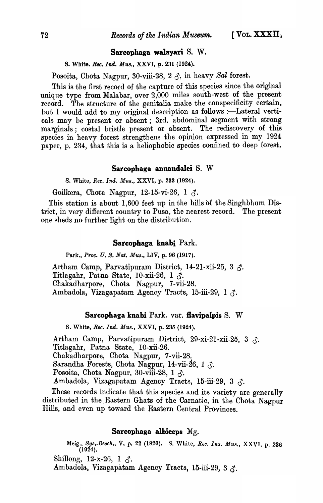### Sarcophaga walayari S. w.

S. White. *Ree. Ind. Mus.,* XXVI, p. 231 (1924).

Posoita, Chota Nagpur, 30-viii-28, 2  $\delta$ , in heavy Sal forest.

This is the first record of the capture of this species since the original unique type from Malabar, over 2,000 miles south-west of the present record. The structure of the genitalia make the conspecificity certain, but I would add to my original description as follows :—Lateral verticals may be present or absent; 3rd. abdominal segment with strong marginals; costal bristle present or absent. The rediscovery of this species in heavy forest strengthens the opinion expressed in my 1924 paper, p. 234, that this is a heliophobic species confined to deep forest.

#### Sarcophaga annandalei S. W

S. White, *Rec. Ind. Mus.,* XXVI, p. 233 (1924).

Goilkera, Chota Nagpur, 12-15-vi-26, 1  $\zeta$ .

This station is about 1,600 feet up in the hills of the Singhbhum District, in very different country to Pusa, the nearest record. The present one sheds no further light on the distribution.

#### Sarcophaga knabi Park.

Park., *Proc. U. S. Nat. Mus.,* LTV, p. 96 (1917).

Artham Camp, Parvatipuram District, 14-21-xii-25, 3  $\zeta$ . Titlagahr, Patna State, 10-xii-26, 1  $\delta$ . Chakadharpore, Chota Nagpur, 7-vii-28. Ambadola, Vizagapatam Agency Tracts, 15-iii-29, 1  $\zeta$ .

### Sarcophaga knabi Park. var. flavipalpis S. W

S. White, *Rec. Ind. Mus.,* XXVI, p. 235 (1924).

Artham Camp, Parvatipuram District, 29-xi-21-xii-25, 3  $\zeta$ . Titlagahr, Patna State, 10-xii-26. Chakadharpore, Chota Nagpur, 7-vii-28. Sarandha Forests, Chota Nagpur, 14-vii-26, 1  $\zeta$ . Posoita, Chota Nagpur, 30-viii-28, 1  $\zeta$ . Ambadola, Vizagapatam Agency Tracts, 15-iii-29, 3  $\zeta$ .

These records indicate that this species and its variety are generally distributed in the Eastern Ghats of the Carnatic, in the Chota Nagpur Hills, and even up toward the Eastern Central Provinces.

# Sarcophaga albiceps Mg.

Meig., *Bys,.Besch.,* V, p. 22 (1826). S. White, *Ree. Ins. Mus.* XXVI p. 236  $(1924)$ .

Shillong, 12-x-26, 1  $\delta$ .

Ambadola, Vizagapatam Agency Tracts, 15-iii-29, 3 3.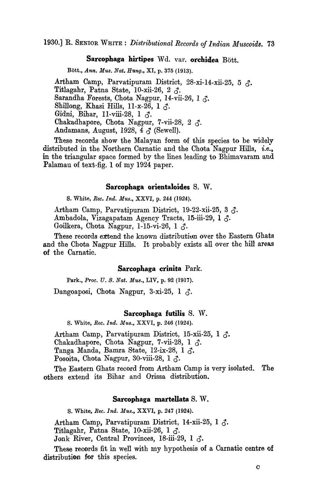### Sarcophaga hirtipes Wd. var. orchidea Bött.

Bott., *Ann. Mus. Nat. Hung.,* XI, p. 375 (1913).

Artham Camp, Parvatipuram District, 28-xi-14-xii-25, 5  $\zeta$ . Titlagahr, Patna State, 10-xii-26, 2  $\delta$ . Sarandha Forests, Chota Nagpur, 14-vii-26, 1  $\zeta$ . Shillong, Khasi Hills, 11-x-26, 1  $\zeta$ . Gidni, Bihar, 11-viii-28, 1  $\delta$ . Chakadhapore, Chota Nagpur, 7-vii-28, 2  $\lambda$ . Andamans, August, 1928, 4  $\delta$  (Sewell).

These records show the Malayan form of this species to be widely distributed in the Northern Carnatic and the Chota Nagpur Hills, *i.e.*, in the triangular space formed by the lines leading to Bhimavaram and Palamau of text-fig. 1 of my 1924 paper.

### Sarcophaga orientaloides S. W.

S. White, *Ree. Ind. Mus.,* XXVI, p. 244 (1924).

Artham Camp, Parvatipuram District, 19-22-xii-25, 3  $\delta$ . Ambadola, Vizagapatam Agency Tracts, 15-iii-29, 1  $\zeta$ . Goilkera, Chota Nagpur, 1-15-vi-26, 1  $\zeta$ .

These records extend the known distribution over the Eastern Ghats and the Chota Nagpur Hills. It probably exists all over the hill areas of the Carnatic.

#### Sarcophaga crinita Park.

Park., *Proc. U. S. Nat. Mus.*, LIV, p. 92 (1917).

Dangoaposi, Chota Nagpur, 3-xi-25, 1  $\delta$ .

#### Sarcophaga futilis S. W.

S. White, *Ree. Ina. MU8.,* XXVI, p. 246 (1924).

Artham Camp, Parvatipuram District, 15-xii-25, 1  $\delta$ . Chakadhapore, Chota Nagpur, 7-vii-28, 1  $\delta$ . Tanga Manda, Bamra State, 12-ix-28, 1  $\zeta$ . Posoita, Chota Nagpur, 30-viii-28, 1  $\zeta$ .

The Eastern Ghats record from Artham Camp is very isolated. The others extend its Bihar and Orissa distribution.

#### Sarcophaga martellata S. W.

S. White, *Rec. Ind. Mus.*, XXVI, p. 247 (1924).

Artham Camp, Parvatipuram District, 14-xii-25, 1  $\zeta$ . Titlagahr, Patna State, 10-xii-26, 1  $\zeta$ .

Jonk River, Central Provinces, 18-iii-29, 1  $\delta$ .

These records fit in well with my hypothesis of a Carnatic centre of distribution for this species.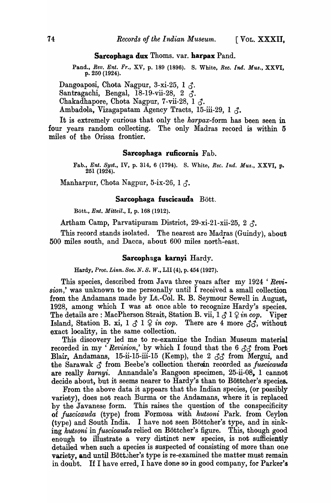#### Sarcophaga dux Thoms. var. harpax Pand.

Pand., *Rev. Ent. Fr.,* XV, p. 189 (1896). S. White, *Ree. Ind. Mus.,* XXVI, p. 250 (1924).

Dangoaposi, Chota Nagpur, 3-xi-25, 1  $\zeta$ . Santragachi, Bengal, 18-19-vii-28, 2  $\zeta$ . Chakadhapore, Chota Nagpur, 7-vii-28, 1  $\zeta$ . Ambadola, Vizagapatam Agency Tracts, 15-iii-29, 1  $\lambda$ .

It is extremely curious that only the *harpax-form* has been seen in four years random collecting. The only Madras record is within 5 miles of the Orissa frontier.

### Sarcophaga ruficornis Fab.

Fab., *Ent. Byst.,* IV, p. 314, 6 (1794). S. 'Vhite, *Rec. Ind. Mus.,* XXVI, p. 251 (1924).

Manharpur, Chota Nagpur, 5-ix-26, 1  $\delta$ .

### Sarcophaga fuscicauda Bött.

Bott., *Ent. Mitteil.,* I, p. 168 (1912).

Artham Camp, Parvatipuram District, 29-xi-21-xii-25, 2  $\lambda$ .

This record stands isolated. The nearest are Madras (Guindy), about 500 miles south, and Dacca, about 600 miles north~east.

#### Sarcophaga karnyi Hardy.

Hardy, *Proc. Linn. Boc. N. B. W.,* LII (4), p. 454 (1927).

This species, described from Java three years after my 1924 ' *Revision*,' was unknown to me personally until I received a small collection from the Andamans made by Lt.-Col. R. B. Seymour Sewell in August, 1928, among which I was at once able to recognize Hardy's species. The details are: MacPherson Strait, Station B. vii,  $1 \beta \ 1 \ \hat{Y}$  *in cop.* Viper Island, Station B. xi,  $1 \circ l \circ n$  *cop.* There are 4 more  $\partial \mathcal{L}$ , without exact locality, in the same collection.

This discovery led me to re-examine the Indian Museum material recorded in my 'Revision,' by which I found that the 6  $\delta \delta$  from Port Blair, Andamans, 15-ii-15-iii-15 (Kemp), the 2  $\delta\delta$  from Mergui, and the Sarawak  $\beta$  from Beebe's collection therein recorded as *fuscicauda* are really *karnyi.* Annandale's Rangoon specimen, 25-ii-08, 1 cannot decide about, but it seems nearer to Hardy's than to Böttcher's species.

From the above data it appears that the Indian species, (or possibly variety), does not reach Burma or the Andamans, where it is replaced by the Javanese form. This raises the question of the conspecificity of *fuscicauda* (type) from Formosa with *hutsoni* Park. from Ceylon (type) and South India. I have not seen Böttcher's type, and in sinking *hutsoni* in *fuscicauda* relied on Bottcher's figure. This, though good enough to illustrate a very distinct new species, is not sufficiently detailed when such a apecies is suspected of consisting of more than one variety, and until Böttsher's type is re-examined the matter must remain in doubt. If I have erred, I have done so in good company, for Parker's